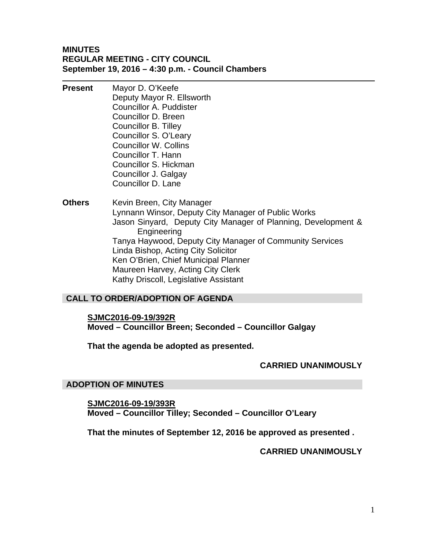## **MINUTES REGULAR MEETING - CITY COUNCIL September 19, 2016 – 4:30 p.m. - Council Chambers**

- **Present** Mayor D. O'Keefe Deputy Mayor R. Ellsworth Councillor A. Puddister Councillor D. Breen Councillor B. Tilley Councillor S. O'Leary Councillor W. Collins Councillor T. Hann Councillor S. Hickman Councillor J. Galgay Councillor D. Lane
- **Others** Kevin Breen, City Manager Lynnann Winsor, Deputy City Manager of Public Works Jason Sinyard, Deputy City Manager of Planning, Development & Engineering Tanya Haywood, Deputy City Manager of Community Services Linda Bishop, Acting City Solicitor Ken O'Brien, Chief Municipal Planner Maureen Harvey, Acting City Clerk Kathy Driscoll, Legislative Assistant

# **CALL TO ORDER/ADOPTION OF AGENDA**

#### **SJMC2016-09-19/392R**

**Moved – Councillor Breen; Seconded – Councillor Galgay** 

**That the agenda be adopted as presented.** 

## **CARRIED UNANIMOUSLY**

#### **ADOPTION OF MINUTES**

**SJMC2016-09-19/393R Moved – Councillor Tilley; Seconded – Councillor O'Leary** 

**That the minutes of September 12, 2016 be approved as presented .** 

**CARRIED UNANIMOUSLY**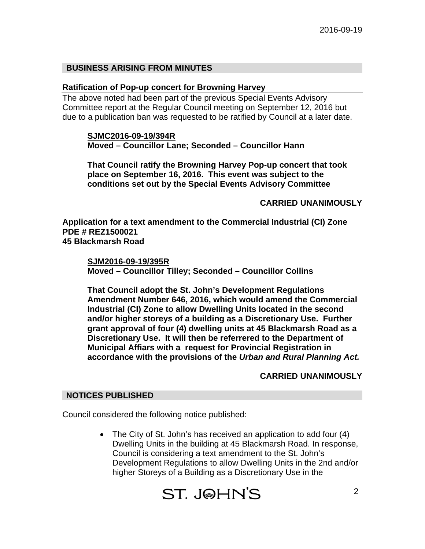## **BUSINESS ARISING FROM MINUTES**

#### **Ratification of Pop-up concert for Browning Harvey**

The above noted had been part of the previous Special Events Advisory Committee report at the Regular Council meeting on September 12, 2016 but due to a publication ban was requested to be ratified by Council at a later date.

#### **SJMC2016-09-19/394R Moved – Councillor Lane; Seconded – Councillor Hann**

**That Council ratify the Browning Harvey Pop-up concert that took place on September 16, 2016. This event was subject to the conditions set out by the Special Events Advisory Committee** 

## **CARRIED UNANIMOUSLY**

**Application for a text amendment to the Commercial Industrial (CI) Zone PDE # REZ1500021 45 Blackmarsh Road** 

#### **SJM2016-09-19/395R**

**Moved – Councillor Tilley; Seconded – Councillor Collins** 

**That Council adopt the St. John's Development Regulations Amendment Number 646, 2016, which would amend the Commercial Industrial (CI) Zone to allow Dwelling Units located in the second and/or higher storeys of a building as a Discretionary Use. Further grant approval of four (4) dwelling units at 45 Blackmarsh Road as a Discretionary Use. It will then be referrered to the Department of Municipal Affiars with a request for Provincial Registration in accordance with the provisions of the** *Urban and Rural Planning Act.*

#### **CARRIED UNANIMOUSLY**

#### **NOTICES PUBLISHED**

Council considered the following notice published:

 The City of St. John's has received an application to add four (4) Dwelling Units in the building at 45 Blackmarsh Road. In response, Council is considering a text amendment to the St. John's Development Regulations to allow Dwelling Units in the 2nd and/or higher Storeys of a Building as a Discretionary Use in the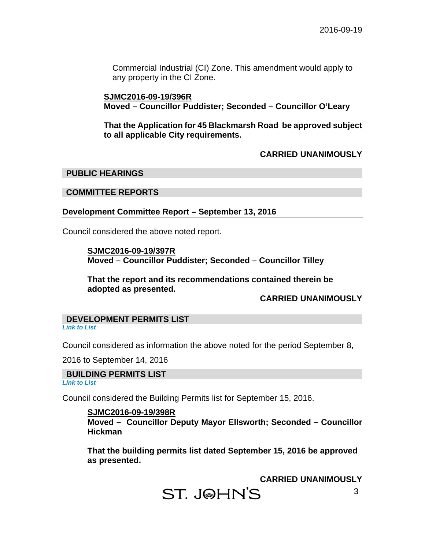Commercial Industrial (CI) Zone. This amendment would apply to any property in the CI Zone.

## **SJMC2016-09-19/396R Moved – Councillor Puddister; Seconded – Councillor O'Leary**

**That the Application for 45 Blackmarsh Road be approved subject to all applicable City requirements.**

## **CARRIED UNANIMOUSLY**

## **PUBLIC HEARINGS**

#### **COMMITTEE REPORTS**

## **Development Committee Report – September 13, 2016**

Council considered the above noted report.

 **SJMC2016-09-19/397R Moved – Councillor Puddister; Seconded – Councillor Tilley** 

 **That the report and its recommendations contained therein be adopted as presented.** 

## **CARRIED UNANIMOUSLY**

**DEVELOPMENT PERMITS LIST**  *Link to List* 

Council considered as information the above noted for the period September 8,

2016 to September 14, 2016

#### **BUILDING PERMITS LIST**

*Link to List* 

Council considered the Building Permits list for September 15, 2016.

#### **SJMC2016-09-19/398R**

**Moved – Councillor Deputy Mayor Ellsworth; Seconded – Councillor Hickman** 

**That the building permits list dated September 15, 2016 be approved as presented.** 

**CARRIED UNANIMOUSLY** 

ST. J@HN'S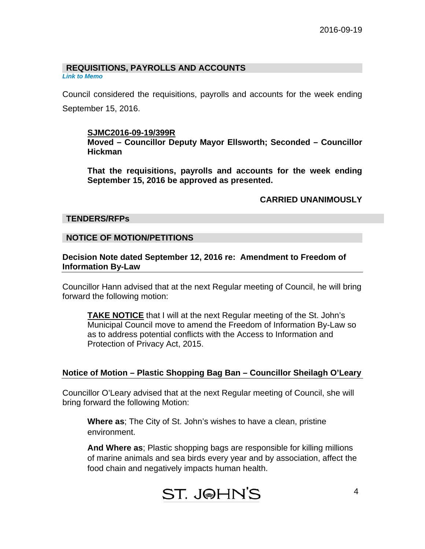# **REQUISITIONS, PAYROLLS AND ACCOUNTS**

*Link to Memo* 

Council considered the requisitions, payrolls and accounts for the week ending September 15, 2016.

## **SJMC2016-09-19/399R**

**Moved – Councillor Deputy Mayor Ellsworth; Seconded – Councillor Hickman** 

**That the requisitions, payrolls and accounts for the week ending September 15, 2016 be approved as presented.** 

## **CARRIED UNANIMOUSLY**

#### **TENDERS/RFPs**

## **NOTICE OF MOTION/PETITIONS**

## **Decision Note dated September 12, 2016 re: Amendment to Freedom of Information By-Law**

Councillor Hann advised that at the next Regular meeting of Council, he will bring forward the following motion:

**TAKE NOTICE** that I will at the next Regular meeting of the St. John's Municipal Council move to amend the Freedom of Information By-Law so as to address potential conflicts with the Access to Information and Protection of Privacy Act, 2015.

## **Notice of Motion – Plastic Shopping Bag Ban – Councillor Sheilagh O'Leary**

Councillor O'Leary advised that at the next Regular meeting of Council, she will bring forward the following Motion:

**Where as**; The City of St. John's wishes to have a clean, pristine environment.

**And Where as**; Plastic shopping bags are responsible for killing millions of marine animals and sea birds every year and by association, affect the food chain and negatively impacts human health.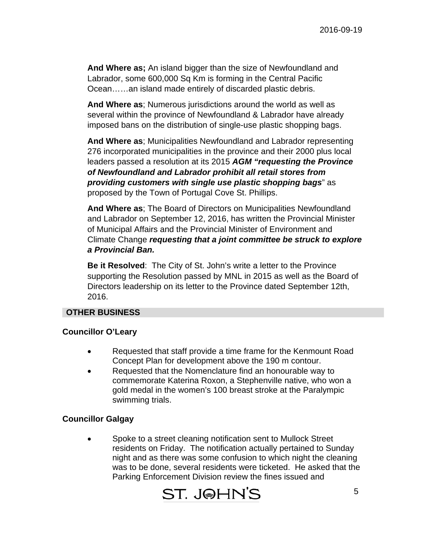**And Where as;** An island bigger than the size of Newfoundland and Labrador, some 600,000 Sq Km is forming in the Central Pacific Ocean……an island made entirely of discarded plastic debris.

**And Where as**; Numerous jurisdictions around the world as well as several within the province of Newfoundland & Labrador have already imposed bans on the distribution of single-use plastic shopping bags.

**And Where as**; Municipalities Newfoundland and Labrador representing 276 incorporated municipalities in the province and their 2000 plus local leaders passed a resolution at its 2015 *AGM "requesting the Province of Newfoundland and Labrador prohibit all retail stores from providing customers with single use plastic shopping bags*" as proposed by the Town of Portugal Cove St. Phillips.

**And Where as**; The Board of Directors on Municipalities Newfoundland and Labrador on September 12, 2016, has written the Provincial Minister of Municipal Affairs and the Provincial Minister of Environment and Climate Change *requesting that a joint committee be struck to explore a Provincial Ban.* 

**Be it Resolved**: The City of St. John's write a letter to the Province supporting the Resolution passed by MNL in 2015 as well as the Board of Directors leadership on its letter to the Province dated September 12th, 2016.

#### **OTHER BUSINESS**

#### **Councillor O'Leary**

- Requested that staff provide a time frame for the Kenmount Road Concept Plan for development above the 190 m contour.
- Requested that the Nomenclature find an honourable way to commemorate Katerina Roxon, a Stephenville native, who won a gold medal in the women's 100 breast stroke at the Paralympic swimming trials.

## **Councillor Galgay**

 Spoke to a street cleaning notification sent to Mullock Street residents on Friday. The notification actually pertained to Sunday night and as there was some confusion to which night the cleaning was to be done, several residents were ticketed. He asked that the Parking Enforcement Division review the fines issued and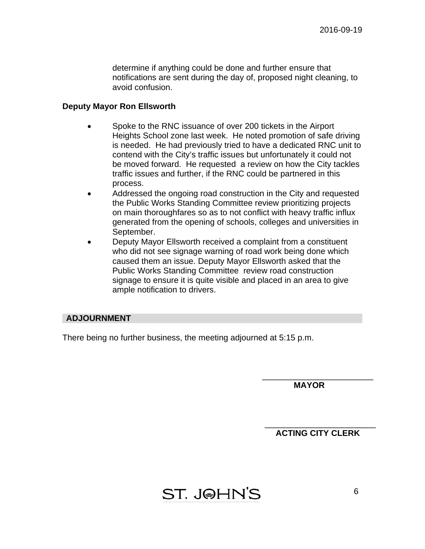determine if anything could be done and further ensure that notifications are sent during the day of, proposed night cleaning, to avoid confusion.

#### **Deputy Mayor Ron Ellsworth**

- Spoke to the RNC issuance of over 200 tickets in the Airport Heights School zone last week. He noted promotion of safe driving is needed. He had previously tried to have a dedicated RNC unit to contend with the City's traffic issues but unfortunately it could not be moved forward. He requested a review on how the City tackles traffic issues and further, if the RNC could be partnered in this process.
- Addressed the ongoing road construction in the City and requested the Public Works Standing Committee review prioritizing projects on main thoroughfares so as to not conflict with heavy traffic influx generated from the opening of schools, colleges and universities in September.
- Deputy Mayor Ellsworth received a complaint from a constituent who did not see signage warning of road work being done which caused them an issue. Deputy Mayor Ellsworth asked that the Public Works Standing Committee review road construction signage to ensure it is quite visible and placed in an area to give ample notification to drivers.

## **ADJOURNMENT**

There being no further business, the meeting adjourned at 5:15 p.m.

 **MAYOR** 

\_\_\_\_\_\_\_\_\_\_\_\_\_\_\_\_\_\_\_\_\_\_\_\_

\_\_\_\_\_\_\_\_\_\_\_\_\_\_\_\_\_\_\_\_\_\_\_\_  **ACTING CITY CLERK** 

ST. J@HN'S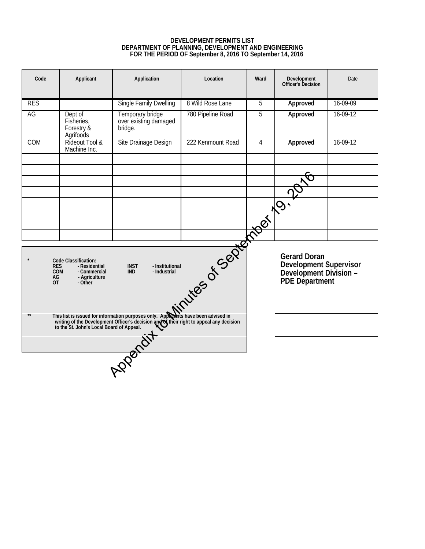#### **DEVELOPMENT PERMITS LIST DEPARTMENT OF PLANNING, DEVELOPMENT AND ENGINEERING FOR THE PERIOD OF September 8, 2016 TO September 14, 2016**

| Code                          | Applicant                                                                                              | Application                                                                                                                                                                                                           | Location             | Ward | <b>Development</b><br>Officer's Decision                                                  | Date     |
|-------------------------------|--------------------------------------------------------------------------------------------------------|-----------------------------------------------------------------------------------------------------------------------------------------------------------------------------------------------------------------------|----------------------|------|-------------------------------------------------------------------------------------------|----------|
| <b>RES</b>                    |                                                                                                        | <b>Single Family Dwelling</b>                                                                                                                                                                                         | 8 Wild Rose Lane     | 5    | Approved                                                                                  | 16-09-09 |
| AG                            | Dept of<br>Fisheries,<br>Forestry &<br>Agrifoods                                                       | Temporary bridge<br>over existing damaged<br>bridge.                                                                                                                                                                  | 780 Pipeline Road    | 5    | Approved                                                                                  | 16-09-12 |
| COM                           | Rideout Tool &<br>Machine Inc.                                                                         | Site Drainage Design                                                                                                                                                                                                  | 222 Kenmount Road    | 4    | Approved                                                                                  | 16-09-12 |
|                               |                                                                                                        |                                                                                                                                                                                                                       |                      |      |                                                                                           |          |
|                               |                                                                                                        |                                                                                                                                                                                                                       |                      |      | $\mathbf Q$                                                                               |          |
|                               |                                                                                                        |                                                                                                                                                                                                                       |                      |      |                                                                                           |          |
|                               |                                                                                                        |                                                                                                                                                                                                                       |                      |      |                                                                                           |          |
| <b>RES</b><br>AG<br><b>OT</b> | <b>Code Classification:</b><br>- Residential<br><b>COM</b><br>- Commercial<br>- Agriculture<br>- Other | <b>INST</b><br>- Institutional<br><b>IND</b><br>- Industrial                                                                                                                                                          | Nimbres of September |      | <b>Gerard Doran</b><br>Development Supervisor<br>Development Division -<br>PDE Department |          |
| $**$                          |                                                                                                        | This list is issued for information purposes only. Approants have been advised in<br>writing of the Development Officer's decision and their right to appeal any decision<br>to the St. John's Local Board of Appeal. |                      |      |                                                                                           |          |
|                               |                                                                                                        |                                                                                                                                                                                                                       |                      |      |                                                                                           |          |
|                               |                                                                                                        | Apparait                                                                                                                                                                                                              |                      |      |                                                                                           |          |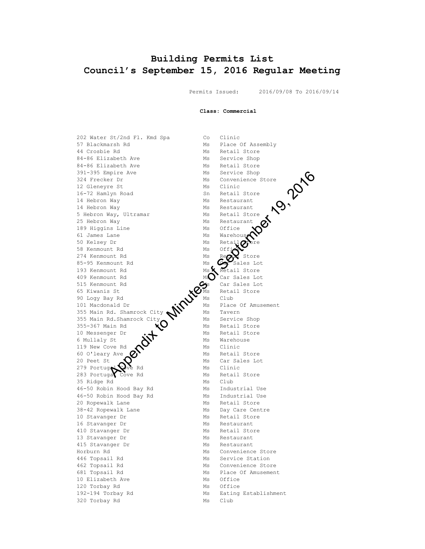## **Building Permits List Council's September 15, 2016 Regular Meeting**

Permits Issued: 2016/09/08 To 2016/09/14

**Class: Commercial**

57 Blackmarsh Rd Ms Place Of Assembly 44 Crosbie Rd Ms Retail Store 84-86 Elizabeth Ave Ms Service Shop 84-86 Elizabeth Ave Ms Retail Store 391-395 Empire Ave Ms Service Shop 324 Frecker Dr<br>
324 Frecker Dr<br>
12 Gleneyre St<br>
16-72 Hamlyn Road<br>
14 Hebron Way<br>
5 Hebron Way<br>
5 Hebron Way, Ultramar<br>
25 Hebron T 12 Gleneyre St<br>16-72 Hamlyn Road n and the matrix of the May Music Restaurant May Music Restaurant 14 Hebron Way **MS** Restaurant 5 Hebron Way, Ultramar Ms Retail Store 25 Hebron Way Ms Restaurant 189 Higgins Line 61 James Lane Ms Ms Warehouse 50 Kelsey Dr Ms Retail other 58 Kenmount Rd 274 Kenmount Rd  $\qquad \qquad$  Ms Re $\alpha$  Store 85-95 Kenmount Rd Ms Ms Car Sales Lot 193 Kenmount Rd Ms X Retail Store 409 Kenmount Rd MS Car Sales Lot 515 Kenmount Rd Ms Car Sales Lot 65 Kiwanis St  $\mathbf{x}$  Ms Retail Store 90 Logy Bay Rd  $\bigcup$  Ms Club 101 Macdonald Dr Ms Place Of Amusement 355 Main Rd. Shamrock City  $\mathbb{N}$  Ms Tavern 355 Main Rd.Shamrock City  $\sum$  Ms Service Shop 355-367 Main Rd  $\bigcup$  Ms Retail Store 10 Messenger Dr  $\cdot$  Ms Retail Store 6 Mullaly St  $\mathbb{N}$  Ms Warehouse 119 New Cove Rd  $\bullet$  Ms Clinic 60 O'leary Ave  $\mathcal{O}$  Ms Retail Store 20 Peet St  $\bigcirc$  Ms Car Sales Lot 279 Portugal ve Rd Ms Clinic 283 Portuga Cove Rd Ms Retail Store 35 Ridge Rd Ms Club %46-50 Robin Hood Bay Rd Ms Industrial Use<br>46-50 Robin Hood Bay Rd Ms Industrial Use 46-50 Robin Hood Bay Rd 20 Ropewalk Lane Ms Retail Store 38-42 Ropewalk Lane Ms Day Care Centre 10 Stavanger Dr Ms Retail Store 16 Stavanger Dr Ms Restaurant 410 Stavanger Dr Ms Retail Store 13 Stavanger Dr Ms Restaurant 415 Stavanger Dr Ms Restaurant Horburn Rd Ms Convenience Store 446 Topsail Rd Ms Service Station 462 Topsail Rd Ms Convenience Store 681 Topsail Rd Ms Place Of Amusement 10 Elizabeth Ave Ms Office 120 Torbay Rd Ms Office 320 Torbay Rd

202 Water St/2nd Fl. Kmd Spa Co Clinic 16-72 Hammer Sn Retail Store 192-194 Torbay Rd<br>320 Torbay Rd Ms Club Ms Club pier and the Minutes of Minutes of Minutes of Minutes (Apple Reset Minutes of Minutes of Minutes of Minutes of Minutes of Minutes of Minutes of Minutes of Minutes of Minutes of Minutes of Minutes of Minutes of Minutes of M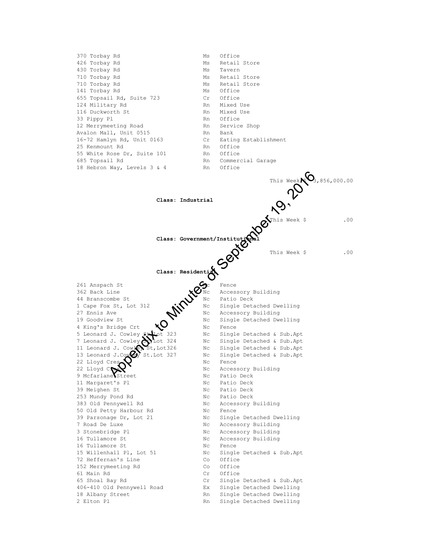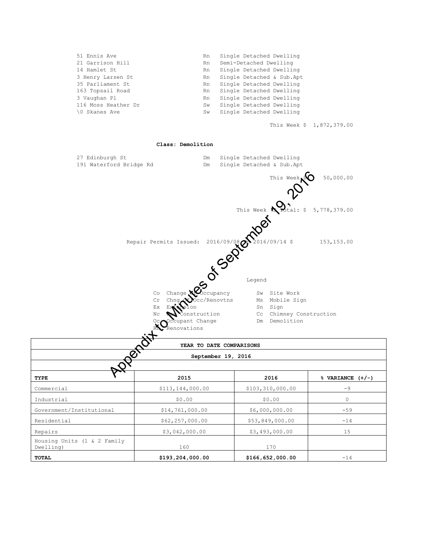| 51 Ennis Ave        | Rn. | Single Detached Dwelling  |
|---------------------|-----|---------------------------|
| 21 Garrison Hill    | Rn. | Semi-Detached Dwelling    |
| 14 Hamlet St        | Rn  | Single Detached Dwelling  |
| 3 Henry Larsen St   | Rn  | Single Detached & Sub.Apt |
| 35 Parliament St    | Rn  | Single Detached Dwelling  |
| 163 Topsail Road    | Rn  | Single Detached Dwelling  |
| 3 Vaughan Pl        | Rn. | Single Detached Dwelling  |
| 116 Moss Heather Dr | Sw  | Single Detached Dwelling  |
| 0 Skanes Ave        | Sw  | Single Detached Dwelling  |
|                     |     |                           |

This Week \$ 1,872,379.00

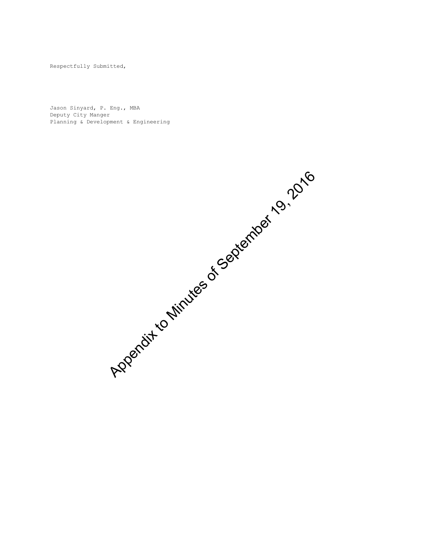Respectfully Submitted,

Jason Sinyard, P. Eng., MBA Deputy City Manger Planning & Development & Engineering

Appendix to Minutes of September 19, 2016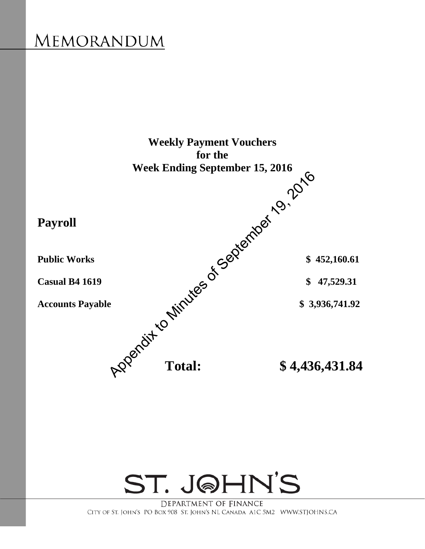

ST. JOHN'S

DEPARTMENT OF FINANCE CITY OF ST. JOHN'S PO BOX 908 ST. JOHN'S NL CANADA A1C 5M2 WWW.STJOHNS.CA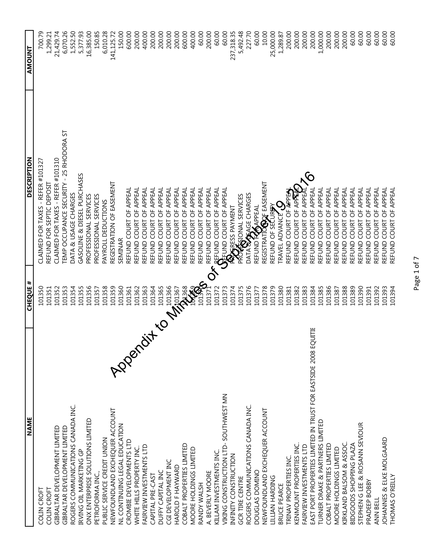| <b>NAME</b>                                                     | <b>CHEQUE #</b>    | DESCRIPTION                                                                                                                                            | AMOUNT     |
|-----------------------------------------------------------------|--------------------|--------------------------------------------------------------------------------------------------------------------------------------------------------|------------|
| COLIN CROFT                                                     | 101350             | CLAIMED FOR TAXES - REFER #101327                                                                                                                      | 700.79     |
| COLIN CROFT                                                     | 101351             | REFUND FOR SEPTIC DEPOSIT                                                                                                                              | 1,299.21   |
| GIBRALTAR DEVELOPMENT LIMITED                                   | 101352             | CLAIMED FOR TAXES - REFER #101310                                                                                                                      | 21,429.74  |
| GIBRALTAR DEVELOPMENT LIMITED                                   | 101353             | TEMP OCCUPANCE SECURITY - 25 RHODORA ST                                                                                                                | 6,070.26   |
|                                                                 |                    | DATA & USAGE CHARGES                                                                                                                                   |            |
| ROGERS COMMUNICATIONS CANADA INC.                               | 101354             |                                                                                                                                                        | 1,552.50   |
| IRVING OIL MARKETING GP                                         | 101355             | GASOLINE & DIESEL PURCHASES                                                                                                                            | 5,377.93   |
| ONX ENTERPRISE SOLUTIONS LIMITED                                | 101356             | PROFESSIONAL SERVICES                                                                                                                                  | 16,385.00  |
| PETROFORMA INC.,                                                | 101357             | PROFESSIONAL SERVICES                                                                                                                                  | 150.85     |
| PUBLIC SERVICE CREDIT UNION                                     | 101358             | PAYROLL DEDUCTIONS                                                                                                                                     | 6,010.28   |
| NEWFOUNDLAND EXCHEQUER ACCOUNT                                  | 101359             | REGISTRATION OF EASEMENT                                                                                                                               | 141,125.72 |
| Appendi<br>NL CONTINUING LEGAL EDUCATION                        | 101360             | SEMINAR                                                                                                                                                | 150.00     |
|                                                                 |                    | REFUND COURT OF APPEAL                                                                                                                                 |            |
| CROMBIE DEVELOPMENTS LTD                                        | 101361             |                                                                                                                                                        | 600.00     |
| WHITE HILLS PROPERTY INC.                                       | 101362             | REFUND COURT OF APPEAL                                                                                                                                 | 200.00     |
| FAIRVIEW INVESTMENTS LTD                                        | 101363             | REFUND COURT OF APPEAL                                                                                                                                 | 400.00     |
| CAPITAL PRE-CAST                                                | 101364             | REFUND COURT OF APPEAL                                                                                                                                 | 200.00     |
| DUFFY CAPITAL INC                                               | 101365             | REFUND COURT OF APPEAL                                                                                                                                 | 200.00     |
| CGI DEVELOPMENT INC                                             | 101366             | REFUND COURT OF APPEAL                                                                                                                                 | 200.00     |
| HAROLD F HAYWARD                                                |                    | REFUND COURT OF APPEAL                                                                                                                                 | 200.00     |
| COBALT PROPERTIES LIMITED                                       |                    | REFUND COURT OF APPEAL                                                                                                                                 | 600.00     |
| MOORE HOLDINGS LIMITED                                          | <b>DESCRIPTION</b> | REFUND COURT OF APPEAL                                                                                                                                 | 400.00     |
|                                                                 |                    |                                                                                                                                                        |            |
| RANDY WALSH                                                     |                    | REFUND COURT OF APPEAL                                                                                                                                 | 60.00      |
| A. BEVERLY MOORE                                                |                    | REFUND COURT OF APPEAL                                                                                                                                 | 200.00     |
| KILLAM INVESTMENTS INC.                                         | 101372             | <b>A REFUND COURT OF APPEAL</b><br><b>SAFUND COURT OF APPEAL<br/>FRAGRESS PAYMENT<br/>PROCRESS PAYMENT<br/>DATA SAGRE CHARGES<br/>REFUND FAAAPPEAL</b> | 60.00      |
| VIKING CONSTRUCTION LTD-SOUTHWEST MN                            | 101373             |                                                                                                                                                        | 60.00      |
| INFINITY CONSTRUCTION                                           | 101374             |                                                                                                                                                        | 237,318.35 |
| <b>GCR TIRE CENTRE</b>                                          | 101375             |                                                                                                                                                        | 5,492.48   |
| ROGERS COMMUNICATIONS CANADA INC.                               | 101376             |                                                                                                                                                        | 227.70     |
| DOUGLAS DOMINO                                                  | 101377             |                                                                                                                                                        | 60.00      |
|                                                                 |                    |                                                                                                                                                        |            |
| NEWFOUNDLAND EXCHEQUER ACCOUNT                                  | 101378             |                                                                                                                                                        | 10.00      |
| LILLIAN HARDING                                                 | 101379             | registrat <b>ió@</b> of easement<br>refund of se <b>c</b> ur <del>y</del> y                                                                            | 25,000.00  |
| BRUCE PEARCE                                                    | 101380             |                                                                                                                                                        | 1,289.87   |
| TRINAV PROPERTIES INC.                                          | 101381             | IRAVEL ADVANCE <b>S QUE</b><br>REFUND COURT OF <del>AP</del> PE <del>A</del><br>REFINIT COURT OF APPE <del>A</del>                                     | 200.00     |
| KENMOUNT PROPERTIES INC.                                        | 101382             | REFUND COURT OF APA                                                                                                                                    | 200.00     |
| FAIRVIEW INVESTMENTS LTD                                        | 101383             | REFUND COURT OF APPEA                                                                                                                                  | 200.00     |
| EAST PORT PROPERTIES LIMITED IN TRUST FOR EASTSIDE 2008 EQUITIE | 101384             | REFUND COURT OF APPEAL                                                                                                                                 | 200.00     |
| TURNER DRAKE & PARTNERS LIMITED                                 | 101385             | REFUND COURT OF APPEAL                                                                                                                                 | 1,000.00   |
| COBALT PROPERTIES LIMITED                                       | 101386             | REFUND COURT OF APPEAL                                                                                                                                 | 200.00     |
| MOORE HOLDINGS LIMITED                                          | 101387             | COURT OF APPEAL<br>REFUND                                                                                                                              | 200.00     |
| KIRKLAND BALSOM & ASSOC.                                        | 101388             | REFUND COURT OF APPEAL                                                                                                                                 | 200.00     |
| BIDGOODS SHOPPING PLAZA                                         | 101389             | <b>COURT OF APPEAL</b><br>REFUND                                                                                                                       | 60.00      |
| STEPHEN G LEE & ROSANN SEVIOUR                                  | 101390             | REFUND COURT OF APPEAL                                                                                                                                 | 60.00      |
| PRADEEP BOBBY                                                   | 101391             | COURT OF APPEAL<br>REFUND                                                                                                                              | 60.00      |
| ANN BELL                                                        | 101392             | <b>COURT OF APPEAL</b><br>REFUND                                                                                                                       | 60.00      |
| JOHANNES & ELKE MOLGAARD                                        | 101393             | REFUND COURT OF APPEAL                                                                                                                                 | 60.00      |
| THOMAS O'REILLY                                                 | 101394             | REFUND COURT OF APPEAL                                                                                                                                 | 60.00      |

Page 1 of 7 Page 1 of 7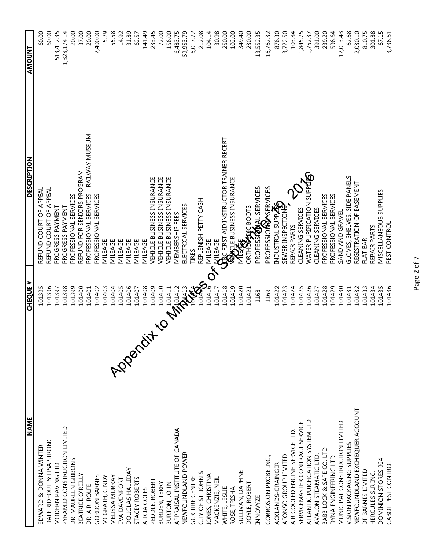| <b>NAME</b>                      | <b>CHEQUE #</b>        | <b>DESCRIPTION</b>                                                    | <b>AMOUNT</b> |
|----------------------------------|------------------------|-----------------------------------------------------------------------|---------------|
| EDWARD & DONNA WINTER            | 101395                 | REFUND COURT OF APPEAL                                                | 60.00         |
| DALE RIDEOUT & LISA STRONG       | 101396                 | REFUND COURT OF APPEAL                                                | 60.00         |
| MODERN PAVING LTD.               | 101397                 | PROGRESS PAYMENT                                                      | 513,412.35    |
| PYRAMID CONSTRUCTION LIMITED     | 101398                 | PROGRESS PAYMENT                                                      | 1,328,174.14  |
| DR. MAUREEN GIBBONS              | 101399                 | PROFESSIONAL SERVICES                                                 | 20.00         |
| BEATRICE O'REILLY                | 101400                 | REFUND FOR SENIORS PROGRAM                                            | 37.00         |
| DR. A.R. ROLFE                   | 101401                 | PROFESSIONAL SERVICES - RAILWAY MUSEUM                                | 20.00         |
| GORDON BARNES                    | 101402                 | PROFESSIONAL SERVICES                                                 | 2,400.00      |
| MCGRATH, CINDY                   | 101403                 | MILEAGE                                                               | 15.29         |
| MELISSA MURRAY                   | 101404                 | MILEAGE                                                               | 55.58         |
| Appendit<br>EVA DAVENPORT        | 101405                 | <b>MILEAGE</b>                                                        | 14.92         |
| DOUGLAS HALLIDAY                 | 101406                 | MILEAGE                                                               | 31.89         |
| STACEY ROBERTS                   | 101407                 | MILEAGE                                                               | 62.57         |
| ALICIA COLES                     | 101408                 | MILEAGE                                                               | 141.49        |
| PEDDLE, ROBERT                   | 101409                 | VEHICLE BUSINESS INSURANCE                                            | 233.45        |
| BURDEN, TERRY                    | 101410                 | VEHICLE BUSINESS INSURANCE                                            | 72.00         |
| BURTON, JOHN                     | <b>MARIAN SEPARATE</b> | VEHICLE BUSINESS INSURANCE                                            | 156.00        |
| APPRAISAL INSTITUTE OF CANADA    |                        | MEMBERSHIP FEES                                                       | 6,483.75      |
| NEWFOUNDLAND POWER               |                        | ELECTRICAL SERVICES                                                   | 59,953.79     |
| <b>GCR TIRE CENTRE</b>           |                        | <b>TIRES</b>                                                          | 6,017.72      |
| CITY OF ST. JOHN'S               |                        | REPLENISH PETTY CASH                                                  | 212.08        |
| JONES, CHRISTINA                 |                        | MILEAGE                                                               | 104.14        |
| MACKENZIE, NEIL                  | 101417                 |                                                                       | 30.98         |
| WHITE, LESLIE                    | 101418                 | `<br>\\[ LEAGE<br>\\[\]C FIRST AID INSTRUCTOR TRAINER RECERT<br>\\[\] | 250.00        |
| ROSE, TRISHA                     | 101419                 |                                                                       | 102.00        |
| SULLIVAN, DAPHNE                 | 101420                 |                                                                       | 349.40        |
| DOYLE, ROBERT                    | 101421                 | ORTHOPPIC BOOTS                                                       | 230.00        |
| <b>INNOWZE</b>                   | 1168                   | PROFESSOONL SERVICES<br>PROFESSIONAL SERVICES                         | 13,552.35     |
| CORROSION PROBE INC.,            | 1169                   |                                                                       | 16,762.32     |
| ACKLANDS-GRAINGER                | 101422                 | INDUSTRIAL SUPP <b>ATE</b><br>SEWER INSPECTIONS                       | 876.30        |
| AFONSO GROUP LIMITED             | 101423                 |                                                                       | 3,722.50      |
| AIR COOLED ENGINE SERVICE LTD    | 101424                 | REPAIR PARTS                                                          | 103.84        |
| SERVICEMASTER CONTRACT SERVICE   | 101425                 | CLEANING SERVICES                                                     | 1,845.75      |
| ATLANTIC PURIFICATION SYSTEM LTD | 101426                 | WATER PURIFICATION SUPPLES                                            | 1,752.37      |
| AVALON STEAMATIC LTD.            | 101427                 | CLEANING SERVICES                                                     | 391.00        |
| BABB LOCK & SAFE CO. LTD         | 101428                 | PROFESSIONAL SERVICES                                                 | 239.20        |
| DYNA ENGINEERING LTD             | 101429                 | PROFESSIONAL SERVICES                                                 | 596.64        |
| MUNICIPAL CONSTRUCTION LIMITED   | 101430                 | SAND AND GRAVEL                                                       | 12,013.43     |
| VISION PACKAGING SUPPLIES        | 101431                 | GLOVES, SHELVES, SIDE PANELS                                          | 62.68         |
| NEWFOUNDLAND EXCHEQUER ACCOUNT   | 101432                 | REGISTRATION OF EASEMENT                                              | 2,030.10      |
| DF BARNES LIMITED                | 101433                 | FLAT BAR                                                              | 810.75        |
| HERCULES SLR INC.                | 101434                 | REPAIR PARTS                                                          | 301.88        |
| DOMINION STORES 924              | 101435                 | <b>MISCELLANEOUS SUPPLIES</b>                                         | 67.15         |
| CABOT PEST CONTROL               | 101436                 | PEST CONTROL                                                          | 3,736.61      |

Page 2 of 7 Page 2 of 7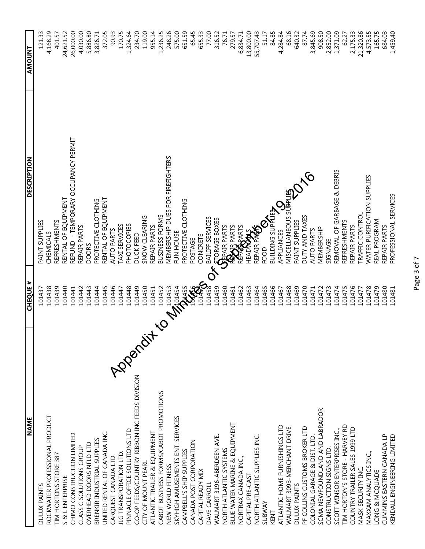| <b>NAME</b>                                     | <b>CHEQUE #</b>     | <b>DESCRIPTION</b>                                                             | <b>AMOUNT</b> |
|-------------------------------------------------|---------------------|--------------------------------------------------------------------------------|---------------|
| DULUX PAINTS                                    | 101437              | PAINT SUPPLIES                                                                 | 121.33        |
| ROCKWATER PROFESSIONAL PRODUCT                  | 101438              | CHEMICALS                                                                      | 4,168.29      |
| TIM HORTONS STORE 387                           | 101439              | REFRESHMENTS                                                                   | 401.57        |
| S & L ENTERPRISE                                | 101440              | RENTAL OF EQUIPMENT                                                            | 24,621.52     |
| CHIMO CONSTRUCTION LIMITED                      | 101441              | REFUND - TEMPORARY OCCUPANCY PERMIT                                            | 26,000.00     |
| CLASS C SOLUTIONS GROUP                         | 101442              | REPAIR PARTS                                                                   | 4,030.00      |
| OVERHEAD DOORS NFLD LTD                         | 101443              | <b>DOORS</b>                                                                   | 5,886.80      |
| BRENKIR INDUSTRIAL SUPPLIES                     | 101444              | PROTECTIVE CLOTHING                                                            | 3,826.71      |
| UNITED RENTAL OF CANADA INC.                    | 101445              | RENTAL OF EQUIPMENT                                                            | 372.05        |
| CARQUEST CANADA LTD.                            | 101446              | <b>AUTO PARTS</b>                                                              | 90.93         |
| <b>JLG TRANSPORATION LTD.</b>                   | 101447              | TAXI SERVICES                                                                  | 170.75        |
| <b>PPerdit</b><br>PINNACLE OFFICE SOLUTIONS LTD | 101448              | PHOTOCOPIES                                                                    | 1,324.64      |
| CO-OP FEEDS/COUNTRY RIBBON INC FEEDS DIVISION   | 101449              | DUCK FEED                                                                      | 234.70        |
| CITY OF MOUNT PEARL                             | 101450              | SNOW CLEARING                                                                  | 119.00        |
| ATLANTIC TRAILER & EQUIPMENT                    | 101451              | REPAIR PARTS                                                                   | 955.14        |
| CABOT BUSINESS FORMS/CABOT PROMOTIONS           | 101452              | BUSINESS FORMS                                                                 | 1,236.25      |
| NEW WORLD FITNESS                               |                     | MEMBERSHIP DUES FOR FIREFIGHTERS                                               | 248.26        |
| SKYHIGH AMUSEMENTS ENT. SERVICES                | <b>CONSTRUCTION</b> | FUN HOUSE                                                                      | 575.00        |
| CAMPBELL'S SHIP SUPPLIES                        |                     | PROTECTIVE CLOTHING                                                            | 651.59        |
| CANADA POST CORPORATION                         |                     | POSTAGE                                                                        | 65.45         |
| CAPITAL READY MIX                               |                     | CONCRETE                                                                       | 655.33        |
| DAVE CARROLL                                    |                     | BAILIFF SERVICES                                                               | 77.00         |
| WALMART 3196-ABERDEEN AVE.                      | 101459              |                                                                                | 316.52        |
| NORTH ATLANTIC SYSTEMS                          | 101460              |                                                                                | 76.71         |
| BLUE WATER MARINE & EQUIPMENT                   | 101461              | <b>E STORAGE BOXES</b><br><b>SSEPAIR PARTS</b><br>REPARE PARTS<br>REPARE PARTS | 279.57        |
| NORTRAX CANADA INC.,                            | 101462              |                                                                                | 6,834.71      |
| CAPITAL PRE-CAST                                | 101463              | HEADWAY                                                                        | 13,800.00     |
| NORTH ATLANTIC SUPPLIES INC.                    | 101464              | REPAIR PAG                                                                     | 55,707.43     |
| <b>SUBWAY</b>                                   | 101465              | FOOD                                                                           | 51.17         |
| KENT                                            | 101466              | <b>BUILDING SUPPLIES</b>                                                       | 84.85         |
| ATLANTIC HOME FURNISHINGS LTD                   | 101467              | APPLIANCES                                                                     | 4,284.84      |
| WALMART 3093-MERCHANT DRIVE                     | 101468              | MISCELLANEOUS SUPPLIES                                                         | 68.16         |
| DULUX PAINTS                                    | 101469              | PAINT SUPPLIES                                                                 | 640.32        |
| PF COLLINS CUSTOMS BROKER LTD                   | 101470              | DUTY AND TAXES                                                                 | 87.74         |
| COLONIAL GARAGE & DIST. LTD.                    | 101471              | <b>AUTO PARTS</b>                                                              | 3,845.69      |
| SCMA NEWFOUNDLAND AND LABRADOR                  | 101472              | MEMBERSHIP                                                                     | 908.50        |
| CONSTRUCTION SIGNS LTD.                         | 101473              | SIGNAGE                                                                        | 2,852.00      |
| SCOTT WINSOR ENTERPRISES INC.,                  | 101474              | REMOVAL OF GARBAGE & DEBRIS                                                    | 1,371.09      |
| TIM HORTON'S STORE - HARVEY RD                  | 101475              | <b>REFRESHMENTS</b>                                                            | 62.27         |
| COUNTRY TRAILER SALES 1999 LTD                  | 101476              | REPAIR PARTS                                                                   | 2,175.33      |
| MASK SECURITY INC.                              | 101477              | <b>TRAFFIC CONTROL</b>                                                         | 21,320.86     |
| MAXXAM ANALYTICS INC.,                          | 101478              | WATER PURIFICATION SUPPLIES                                                    | 4,573.55      |
| LONG & MCQUADE                                  | 101479              | REAL PROGRAM                                                                   | 165.75        |
| CUMMINS EASTERN CANADA LP                       | 101480              | REPAIR PARTS                                                                   | 684.03        |
| KENDALL ENGINEERING LIMITED                     | 101481              | PROFESSIONAL SERVICES                                                          | 1,459.40      |

Page 3 of 7 Page 3 of 7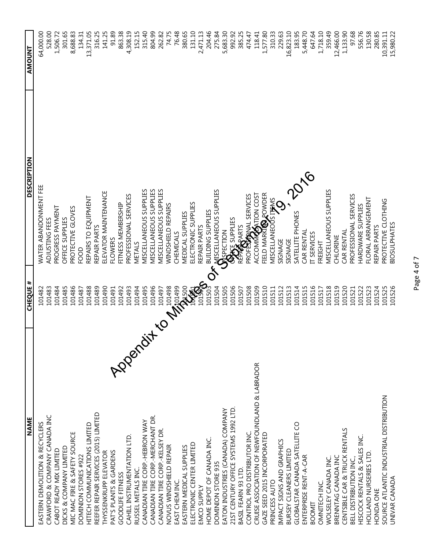| <b>NAME</b>                                   | <b>CHEQUE #</b> | <b>DESCRIPTION</b>                                         | <b>AMOUNT</b> |
|-----------------------------------------------|-----------------|------------------------------------------------------------|---------------|
| EASTERN DEMOLITION & RECYCLERS                | 101482          | WATER ABANDONMENT FEE                                      | 64,000.00     |
| CRAWFORD & COMPANY CANADA INC                 | 101483          | ADJUSTING FEES                                             | 528.00        |
| CABOT READY MIX LIMITED                       | 101484          | PROGRESS PAYMENT                                           | 1,506.72      |
| DICKS & COMPANY LIMITED                       | 101485          | OFFICE SUPPLIES                                            | 301.65        |
| MIC MAC FIRE & SAFETY SOURCE                  | 101486          | PROTECTIVE GLOVES                                          | 8,688.83      |
| DOMINION STORES #922                          | 101487          | <b>BOOF</b>                                                | 134.31        |
| HITECH COMMUNICATIONS LIMITED                 | 101488          | REPAIRS TO EQUIPMENT                                       | 13,371.05     |
| REEFER REPAIR SERVICES (2015) LIMITED         | 101489          | REPAIR PARTS                                               | 316.25        |
| THYSSENKRUPP ELEVATOR                         | 101490          | ELEVATOR MAINTENANCE                                       | 141.25        |
| Appendit<br>PAT'S PLANTS & GARDENS            | 101491          | <b>FLOWERS</b>                                             | 91.89         |
| <b>GOODLIFE FITNESS</b>                       | 101492          | FITNESS MEMBERSHIP                                         | 863.38        |
| CAHILL INSTRUMENTATION LTD.                   | 101493          | PROFESSIONAL SERVICES                                      | 4,308.19      |
| RUSSEL METALS INC.                            | 101494          | VETALS                                                     | 152.15        |
| CANADIAN TIRE CORP.-HEBRON WAY                | 101495          | <b>MISCELLANEOUS SUPPLIES</b>                              | 315.40        |
| CANADIAN TIRE CORP.-MERCHANT DR.              | 101496          | <b>MISCELLANEOUS SUPPLIES</b>                              | 804.99        |
| CANADIAN TIRE CORP .- KELSEY DR.              | 101497          | MISCELLANEOUS SUPPLIES                                     | 262.82        |
| NOVUS WINDSHIELD REPAIR                       | 101498          | <b>MINDSHIELD REPAIRS</b>                                  | 74.75         |
| EAST CHEM INC.                                | <b>MASSIS</b>   | CHEMICALS                                                  | 76.48         |
| EASTERN MEDICAL SUPPLIES                      |                 | <b>MEDICAL SUPPLIES</b>                                    | 380.65        |
| ELECTRONIC CENTER LIMITED                     |                 | ELECTRONIC SUPPLIES                                        | 131.10        |
| EMCO SUPPLY                                   | <b>SARRO</b>    |                                                            | 2,471.13      |
| HOME DEPOT OF CANADA INC.                     | 101503          |                                                            | 204.46        |
| DOMINION STORE 935                            | 101504          | CONSELLANEOUS SUPPLIES                                     | 275.84        |
| EATON INDUSTRIES (CANADA) COMPANY             | 101505          |                                                            | 5,683.30      |
| 21ST CENTURY OFFICE SYSTEMS 1992 LTD.         | 101506          | <b>OPACE</b> SUPPLIES<br>REPARTYS<br>PROFESSIONAL SERVICES | 992.92        |
| BASIL FEARN 93 LTD.                           | 101507          |                                                            | 385.25        |
| CONTROL PRO DISTRIBUTOR INC.                  | 101508          |                                                            | 474.47        |
| CRUISE ASSOCIATION OF NEWFOUNDLAND & LABRADOR | 101509          | <b>ACCOMMOSTION COST</b>                                   | 118.41        |
| GAZE SEED 2015 INCORPORATED                   | 101510          | FIELD MARKIOLOWDER                                         | 1,577.80      |
| PRINCESS AUTO                                 | 101511          | MISCELLANEOUS IF MS                                        | 310.33        |
| IMPACT SIGNS AND GRAPHICS                     | 101512          | SIGNAGE                                                    | 229.63        |
| BURSEY CLEANERS LIMITED                       | 101513          | SIGNAGE                                                    | 16,823.10     |
| GLOBALSTAR CANADA SATELLITE CO                | 101514          | SATELLITE PHONES                                           | 183.95        |
| ENTERPRISE RENT-A-CAR                         | 101515          | CAR RENTAL                                                 | 5,448.70      |
| BOOMIT                                        | 101516          | IT SERVICES                                                | 647.64        |
| OMNITECH INC.                                 | 101517          | FREIGHT                                                    | 1,718.10      |
| WOLSELEY CANADA INC.                          | 101518          | <b>MISCELLANEOUS SUPPLIES</b>                              | 359.49        |
| BRENNTAG CANADA INC                           | 101519          | CHLORINE                                                   | 12,466.00     |
| CENTSIBLE CAR & TRUCK RENTALS                 | 101520          | CAR RENTAL                                                 | 1,133.90      |
| BELL DISTRIBUTION INC.,                       | 101521          | PROFESSIONAL SERVICES                                      | 97.68         |
| HISCOCK RENTALS & SALES INC                   | 101522          | HARDWARE SUPPLIES                                          | 556.76        |
| HOLLAND NURSERIES LTD.                        | 101523          | FLORAL ARRANGEMENT                                         | 130.58        |
| HONDA ONE                                     | 101524          | REPAIR PARTS                                               | 280.85        |
| SOURCE ATLANTIC INDUSTRIAL DISTRIBUTION       | 101525          | PROTECTIVE CLOTHING                                        | 10,391.11     |
| UNIVAR CANADA                                 | 101526          | <b>BIOSULPHATES</b>                                        | 15,980.22     |

Page 4 of 7 Page 4 of 7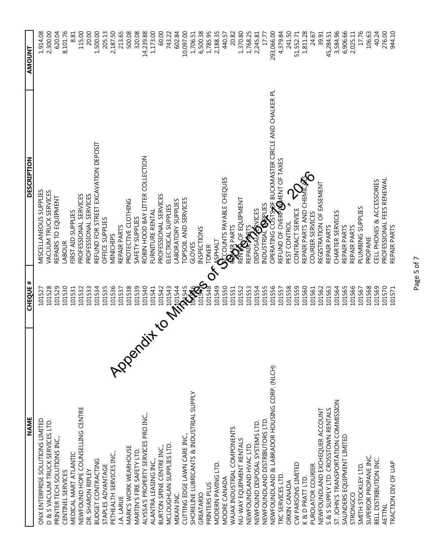| <b>NAME</b>                                           | <b>CHEQUE #</b>     | <b>DESCRIPTION</b>                                                                              | <b>AMOUNT</b> |
|-------------------------------------------------------|---------------------|-------------------------------------------------------------------------------------------------|---------------|
| ONX ENTERPRISE SOLUTIONS LIMITED                      | 101527              | MISCELLANEOUS SUPPLIES                                                                          | 1,914.08      |
| D & S VACUUM TRUCK SERVICES LTD.                      | 101528              | <b>VACUUM TRUCK SERVICES</b>                                                                    | 2,300.00      |
| PRINTER TECH SOLUTIONS INC.,                          | 101529              | REPAIRS TO EQUIPMENT                                                                            | 620.04        |
| CENTINEL SERVICES                                     | 101530              | LABOUR                                                                                          | 8,101.76      |
| MEDICAL MART ATLANTIC                                 | 101531              | FIRST AID SUPPLIES                                                                              | 8.81          |
| NEWFOUND HOPE COUNSELLING CENTRE                      | 101532              | PROFESSIONAL SERVICES                                                                           | 115.00        |
| DR. SHARON RIPLEY                                     | 101533              | PROFESSIONAL SERVICES                                                                           | 20.00         |
| <b>BUDGET CONTRACTING</b>                             | 101534              | REFUND FOR STREET EXCAVATION DEPOSIT                                                            | 1,500.00      |
| STAPLES ADVANTAGE                                     | 101535              | OFFICE SUPPLIES                                                                                 | 205.13        |
| PETHEALTH SERVICES INC.,                              | 101536              | NINICHIPS                                                                                       | 2,187.50      |
| <b>J.A. LARUE</b>                                     | 101537              | REPAIR PARTS                                                                                    | 213.65        |
| MARK'S WORK WEARHOUSE                                 | 101538              | PROTECTIVE CLOTHING                                                                             | 500.08        |
| MARTIN'S FIRE SAFETY LTD.                             | 101539              | SAFETY SUPPLIES                                                                                 | 320.08        |
| <b>1228rd</b><br>ALYSSA'S PROPERTY SERVICES PRO INC., | 101540              | ROBIN HOOD BAY LITTER COLLECTION                                                                | 14,239.88     |
| ALANTRA LEASING INC.,                                 | 101541              | FURNITURE RENTAL                                                                                | 1,173.00      |
| BURTON SPINE CENTRE INC.,                             | 101542              | PROFESSIONAL SERVICES                                                                           | 60.00         |
| MCLOUGHLAN SUPPLIES LTD.                              | <b>CONSTRUCTION</b> | ELECTRICAL SUPPLIES                                                                             | 743.22        |
| MIKAN INC.                                            |                     | LABORATORY SUPPLIES                                                                             | 602.84        |
| CUTTING EDGE LAWN CARE INC.,                          |                     | TOPSOIL AND SERVICES                                                                            | 10,097.00     |
| SHORELINE LUBRICANTS & INDUSTRIAL SUPPLY              |                     | GLOVES                                                                                          | 1,706.51      |
| GREATARIO                                             |                     | INSPECTIONS                                                                                     | 6,500.38      |
| PRINTERS PLUS                                         |                     | <b>TONER</b>                                                                                    | 1,785.95      |
| MODERN PAVING LTD.                                    | 101549              |                                                                                                 | 2,188.35      |
| MOORE CANADA                                          | 101550              |                                                                                                 | 440.57        |
| WAJAX INDUSTRIAL COMPONENTS                           | 101551              |                                                                                                 | 20.82         |
| NU-WAY EQUIPMENT RENTALS                              | 101552              | SEPHALT<br>SECOUNTS PAYABLE CHEQUES<br>REMEAR PARTS<br>REMEAS OF EQUIPMENT                      | 1,370.80      |
| NEWFOUNDLAND HVAC LTD.                                | 101553              | RÉN <b>VA</b> OF EQUIPMENT<br>REPAI <b>RIAR</b> IS                                              | 1,768.25      |
| NEWFOUND DISPOSAL SYSTEMS LTD.                        | 101554              | HAVICES<br>DISPOSAL,                                                                            | 2,245.81      |
| NEWFOUNDLAND DISTRIBUTORS LTD.                        | 101555              |                                                                                                 | 17.77         |
| NEWFOUNDLAND & LABRADOR HOUSING CORP. (NLCH)          | 101556              | industria <b>l @p</b> plies<br>Operating COSTS <del>S</del> OF BUCKMASTER CIRCLE AND CHALKER PL | 293,066.00    |
| TRC SERVICES LTD                                      | 101557              | REFUND OF OVERPARINT OF TAXES                                                                   | 4,379.84      |
| ORKIN CANADA                                          | 101558              | PEST CONTROL                                                                                    | 241.50        |
| CW PARSONS LIMITED                                    | 101559              | CONTRACT SERVICE                                                                                | 51,552.71     |
| K & D PRATT LTD.                                      | 101560              | REPAIR PARTS AND CHEM                                                                           | 1,811.28      |
| PUROLATOR COURIER                                     | 101561              | COURIER SERVICES                                                                                | 24.67         |
| NEWFOUNDLAND EXCHEQUER ACCOUNT                        | 101562              | REGISTRATION OF EASEMENT                                                                        | 39.91         |
| S & S SUPPLY LTD. CROSSTOWN RENTALS                   | 101563              | REPAIR PARTS                                                                                    | 45,284.51     |
| ST. JOHN'S TRANSPORTATION COMMISSION                  | 101564              | CHARTER SERVICES                                                                                | 3,584.96      |
| SAUNDERS EQUIPMENT LIMITED                            | 101565              | REPAIR PARTS                                                                                    | 6,906.66      |
| STRONGCO                                              | 101566              | REPAIR PARTS                                                                                    | 2,025.11      |
| SMITH STOCKLEY LTD.                                   | 101567              | PLUMBING SUPPLIES                                                                               | 17.76         |
| SUPERIOR PROPANE INC.                                 | 101568              | PROPANE                                                                                         | 106.63        |
| BELL DISTRIBUTION INC.                                | 101569              | CELL PHONES & ACCESSORIES                                                                       | 40.24         |
| AETTNL                                                | 101570              | PROFESSIONAL FEES RENEWAL                                                                       | 276.00        |
| TRACTION DIV OF UAP                                   | 101571              | REPAIR PARTS                                                                                    | 944.10        |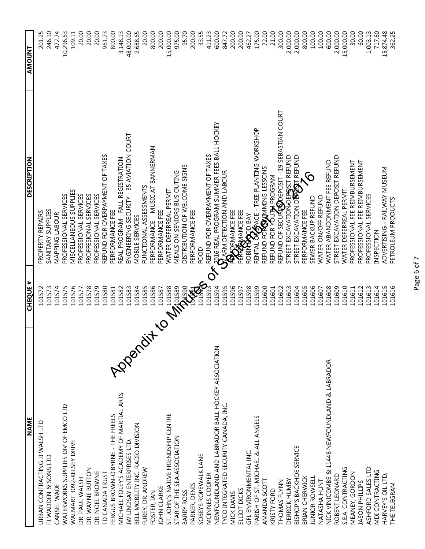| <b>NAME</b>                                       | <b>CHEQUE #</b>     | <b>DESCRIPTION</b>                                                                                                                                                                                                          | <b>AMOUNT</b> |
|---------------------------------------------------|---------------------|-----------------------------------------------------------------------------------------------------------------------------------------------------------------------------------------------------------------------------|---------------|
| URBAN CONTRACTING JJ WALSH LTD                    | 101572              | PROPERTY REPAIRS                                                                                                                                                                                                            | 201.25        |
| FJ WADDEN & SONS LTD.                             | 101573              | SANITARY SUPPLIES                                                                                                                                                                                                           | 246.10        |
| CANSEL WADE                                       | 101574              | <b>MAPPING LABOUR</b>                                                                                                                                                                                                       | 472.74        |
| WATERWORKS SUPPLIES DIV OF EMCO LTD               | 101575              | PROFESSIONAL SERVICES                                                                                                                                                                                                       | 10,296.63     |
| WALMART 3092-KELSEY DRIVE                         | 101576              | <b>MISCELLANEOUS SUPPLIES</b>                                                                                                                                                                                               | 109.11        |
| DR. PAUL WALSH                                    | 101577              | PROFESSIONAL SERVICES                                                                                                                                                                                                       | 20.00         |
| DR. WAYNE BUTTON                                  | 101578              | PROFFESIONAL SERVICES                                                                                                                                                                                                       | 20.00         |
| DR. NOEL BROWNE                                   | 101579              | PROFESSIONAL SERVICES                                                                                                                                                                                                       | 20.00         |
| TD CANADA TRUST                                   | 101580              | REFUND FOR OVERPAYMENT OF TAXES                                                                                                                                                                                             | 961.23        |
| FERGUS BROWN-O'BYRNE - THE FREELS                 | 101581              | PERFORMANCE FEE                                                                                                                                                                                                             | 800.00        |
| MICHAEL FOLEY'S ACADEMY OF MARTIAL ARTS           | 101582              | REAL PROGRAM - FALL REGISTRATION                                                                                                                                                                                            | 3,148.13      |
| <b>LOPER</b><br>JW LINDSAY ENTERPRISES LTD.       | 101583              | ENGINEERING SECURITY - 35 AVIATION COURT                                                                                                                                                                                    | 48,000.00     |
| BELL MOBILITY INC. RADIO DIVISION                 | 101584              | MOBILE SERVICES                                                                                                                                                                                                             | 2,688.65      |
| FUREY, DR. ANDREW                                 | 101585              | FUNCTIONAL ASSESSMENTS                                                                                                                                                                                                      | 20.00         |
| FOSTER, IAN                                       | 101586              | PERFORMANCE - MUSIC AT BANNERMAN                                                                                                                                                                                            | 800.00        |
| JOHN CLARKE                                       | 101587              | PERFORMANCE FEE                                                                                                                                                                                                             | 200.00        |
| ST. JOHN'S NATIVE FRIENDSHIP CENTRE               | <b>CONSIGNATION</b> | WATER DEFERREAL PERMIT                                                                                                                                                                                                      | 15,000.00     |
| STAR OF THE SEA ASSOCIATION                       |                     | MEALS ON SENIORS BUS OUTING                                                                                                                                                                                                 | 975.00        |
| <b>BARRY ROSS</b>                                 |                     | DISTRIBUTION OF WELCOME SIGNS                                                                                                                                                                                               | 95.70         |
| PARKER, DENIS                                     |                     | PERFORMANCE FEE                                                                                                                                                                                                             | 200.00        |
| SOBEYS ROPEWALK LANE                              |                     | <b>BOOR</b>                                                                                                                                                                                                                 | 33.55         |
| MCINNES COOPER                                    |                     | REFUND FOR OVERPAYMENT OF TAXES                                                                                                                                                                                             | 411.23        |
| NEWFOUNDLAND AND LABRADOR BALL HOCKEY ASSOCIATION | 101594              |                                                                                                                                                                                                                             | 600.00        |
| TYCO INTEGRATED SECURITY CANADA, INC.             | 101595              |                                                                                                                                                                                                                             | 847.72        |
| MICK DAVIS                                        | 101596              |                                                                                                                                                                                                                             | 200.00        |
| ELLIOT DICKS                                      | 101597              | <b>s a</b> dia real program summer fees ball hockey<br><b>Ca</b> arm detection and labour<br><b>PERTAR</b> MANCE FEE<br>PERTAL CARD BAY<br>RENTAL CARACE - TREE PLANTING WORKSHOP<br>RENTAL CARACE - TREE PLANTING WORKSHOP | 200.00        |
| GFL ENVIRONMENTAL INC.                            | 101598              |                                                                                                                                                                                                                             | 462.27        |
| PARISH OF ST. MICHAEL & ALL ANGELS                | 101599              |                                                                                                                                                                                                                             | 175.00        |
| AMANDA SCOTT                                      | 101600              | REFUND FOR OWING LESSONS                                                                                                                                                                                                    | 72.00         |
| KRISTY FORD                                       | 101601              | REFUND FOR YOUTH PROGRAM                                                                                                                                                                                                    | 21.00         |
| THOMAS FLYNN                                      | 101602              | REFUND OF SECURICORDEPOSIT - 19 SEBASTIAN COURT                                                                                                                                                                             | 300.00        |
| DERRICK HUMBY                                     | 101603              | STREET EXCAVATION DEPOSIT REFUND                                                                                                                                                                                            | 2,000.00      |
| BISHOP'S BACKHOE SERVICE                          | 101604              | STREET EXCAVATION DEPOST REFUND                                                                                                                                                                                             | 2,000.00      |
| BRIAN CHERWICK                                    | 101605              | င်<br>PERFORMANCE FEE                                                                                                                                                                                                       | 800.00        |
| JUNIOR ROWSELL                                    | 101606              | SEWER BACKUP REFUND                                                                                                                                                                                                         | 100.00        |
| NATASHA HUNT                                      | 101607              | WATER ON/OFF REFUND                                                                                                                                                                                                         | 100.00        |
| NICK VINICOMBE & 11446 NEWFOUNDLAND & LABRADOR    | 101608              | WATER ABANDONMENT FEE REFUND                                                                                                                                                                                                | 600.00        |
| ROBERT LEONARD                                    | 101609              | STREET EXCAVATION DEPOSIT REFUND                                                                                                                                                                                            | 2,000.00      |
| S.E.A. CONTRACTING                                | 101610              | WATER DEFERREAL PERMIT                                                                                                                                                                                                      | 15,000.00     |
| MEANEY, GORDON                                    | 101611              | PROFESSIONAL FEE REIMBURSEMENT                                                                                                                                                                                              | 30.00         |
| JASON PHILLIPS                                    | 101612              | PROFESSIONAL FEE REIMBURSEMENT                                                                                                                                                                                              | 60.00         |
| ASHFORD SALES LTD.                                | 101613              | PROFESSIONAL SERVICES                                                                                                                                                                                                       | 1,003.13      |
| <b>MDI CONTRACTING</b>                            | 101614              | <b>INSPECTION</b>                                                                                                                                                                                                           | 717.60        |
| HARVEY'S OIL LTD.                                 | 101615              | ADVERTISING - RAILWAY MUSEUM                                                                                                                                                                                                | 15,874.48     |
| THE TELEGRAM                                      | 101616              | PETROLEUM PRODUCTS                                                                                                                                                                                                          | 362.25        |

Page 6 of 7 Page 6 of 7